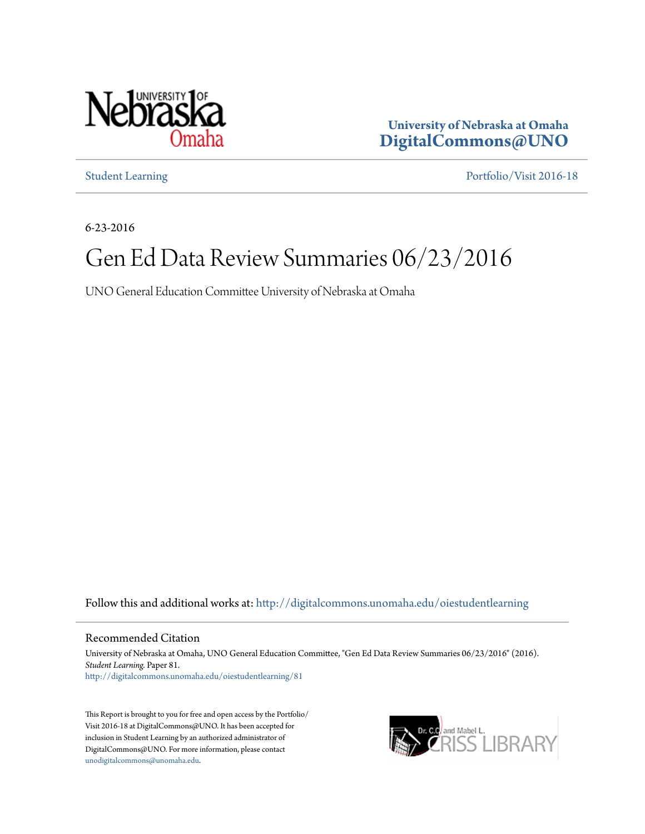

**University of Nebraska at Omaha [DigitalCommons@UNO](http://digitalcommons.unomaha.edu?utm_source=digitalcommons.unomaha.edu%2Foiestudentlearning%2F81&utm_medium=PDF&utm_campaign=PDFCoverPages)**

[Student Learning](http://digitalcommons.unomaha.edu/oiestudentlearning?utm_source=digitalcommons.unomaha.edu%2Foiestudentlearning%2F81&utm_medium=PDF&utm_campaign=PDFCoverPages) [Portfolio/Visit 2016-18](http://digitalcommons.unomaha.edu/oieportfolio?utm_source=digitalcommons.unomaha.edu%2Foiestudentlearning%2F81&utm_medium=PDF&utm_campaign=PDFCoverPages)

6-23-2016

# Gen Ed Data Review Summaries 06/23/2016

UNO General Education Committee University of Nebraska at Omaha

Follow this and additional works at: [http://digitalcommons.unomaha.edu/oiestudentlearning](http://digitalcommons.unomaha.edu/oiestudentlearning?utm_source=digitalcommons.unomaha.edu%2Foiestudentlearning%2F81&utm_medium=PDF&utm_campaign=PDFCoverPages)

Recommended Citation

University of Nebraska at Omaha, UNO General Education Committee, "Gen Ed Data Review Summaries 06/23/2016" (2016). *Student Learning.* Paper 81. [http://digitalcommons.unomaha.edu/oiestudentlearning/81](http://digitalcommons.unomaha.edu/oiestudentlearning/81?utm_source=digitalcommons.unomaha.edu%2Foiestudentlearning%2F81&utm_medium=PDF&utm_campaign=PDFCoverPages)

This Report is brought to you for free and open access by the Portfolio/ Visit 2016-18 at DigitalCommons@UNO. It has been accepted for inclusion in Student Learning by an authorized administrator of DigitalCommons@UNO. For more information, please contact [unodigitalcommons@unomaha.edu](mailto:unodigitalcommons@unomaha.edu).

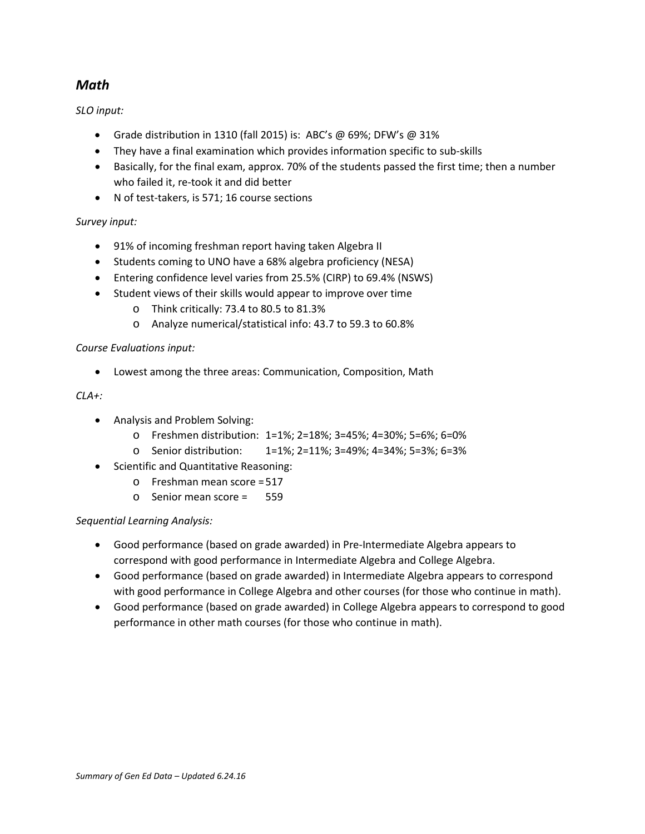# *Math*

*SLO input:*

- Grade distribution in 1310 (fall 2015) is: ABC's @ 69%; DFW's @ 31%
- They have a final examination which provides information specific to sub-skills
- Basically, for the final exam, approx. 70% of the students passed the first time; then a number who failed it, re-took it and did better
- N of test-takers, is 571; 16 course sections

# *Survey input:*

- 91% of incoming freshman report having taken Algebra II
- Students coming to UNO have a 68% algebra proficiency (NESA)
- Entering confidence level varies from 25.5% (CIRP) to 69.4% (NSWS)
- Student views of their skills would appear to improve over time
	- o Think critically: 73.4 to 80.5 to 81.3%
	- o Analyze numerical/statistical info: 43.7 to 59.3 to 60.8%

# *Course Evaluations input:*

• Lowest among the three areas: Communication, Composition, Math

#### *CLA+:*

- Analysis and Problem Solving:
	- o Freshmen distribution: 1=1%; 2=18%; 3=45%; 4=30%; 5=6%; 6=0%
	- o Senior distribution: 1=1%; 2=11%; 3=49%; 4=34%; 5=3%; 6=3%
- Scientific and Quantitative Reasoning:
	- o Freshman mean score =517
	- o Senior mean score = 559

#### *Sequential Learning Analysis:*

- Good performance (based on grade awarded) in Pre-Intermediate Algebra appears to correspond with good performance in Intermediate Algebra and College Algebra.
- Good performance (based on grade awarded) in Intermediate Algebra appears to correspond with good performance in College Algebra and other courses (for those who continue in math).
- Good performance (based on grade awarded) in College Algebra appears to correspond to good performance in other math courses (for those who continue in math).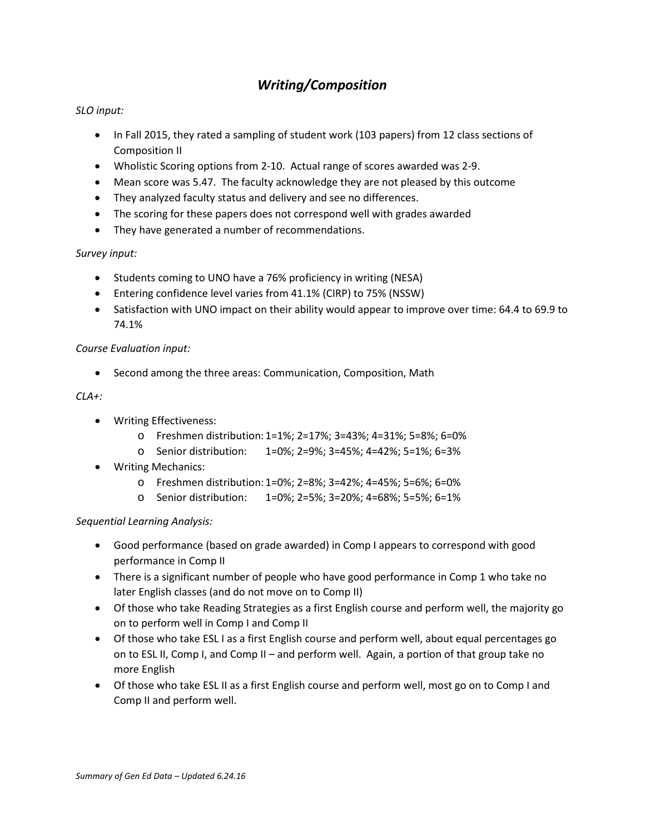# *Writing/Composition*

# *SLO input:*

- In Fall 2015, they rated a sampling of student work (103 papers) from 12 class sections of Composition II
- Wholistic Scoring options from 2-10. Actual range of scores awarded was 2-9.
- Mean score was 5.47. The faculty acknowledge they are not pleased by this outcome
- They analyzed faculty status and delivery and see no differences.
- The scoring for these papers does not correspond well with grades awarded
- They have generated a number of recommendations.

# *Survey input:*

- Students coming to UNO have a 76% proficiency in writing (NESA)
- Entering confidence level varies from 41.1% (CIRP) to 75% (NSSW)
- Satisfaction with UNO impact on their ability would appear to improve over time: 64.4 to 69.9 to 74.1%

# *Course Evaluation input:*

• Second among the three areas: Communication, Composition, Math

# *CLA+:*

- Writing Effectiveness:
	- o Freshmen distribution: 1=1%; 2=17%; 3=43%; 4=31%; 5=8%; 6=0%
	- o Senior distribution: 1=0%; 2=9%; 3=45%; 4=42%; 5=1%; 6=3%
- Writing Mechanics:
	- o Freshmen distribution: 1=0%; 2=8%; 3=42%; 4=45%; 5=6%; 6=0%
	- o Senior distribution: 1=0%; 2=5%; 3=20%; 4=68%; 5=5%; 6=1%

#### *Sequential Learning Analysis:*

- Good performance (based on grade awarded) in Comp I appears to correspond with good performance in Comp II
- There is a significant number of people who have good performance in Comp 1 who take no later English classes (and do not move on to Comp II)
- Of those who take Reading Strategies as a first English course and perform well, the majority go on to perform well in Comp I and Comp II
- Of those who take ESL I as a first English course and perform well, about equal percentages go on to ESL II, Comp I, and Comp II – and perform well. Again, a portion of that group take no more English
- Of those who take ESL II as a first English course and perform well, most go on to Comp I and Comp II and perform well.